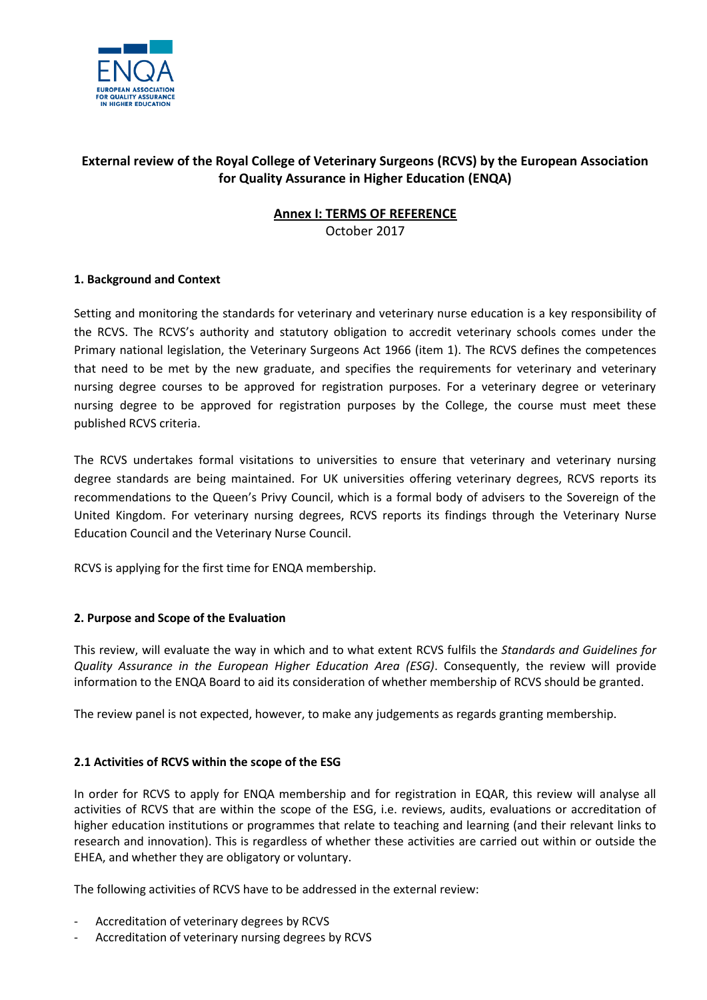

# **External review of the Royal College of Veterinary Surgeons (RCVS) by the European Association for Quality Assurance in Higher Education (ENQA)**

# **Annex I: TERMS OF REFERENCE**

October 2017

# **1. Background and Context**

Setting and monitoring the standards for veterinary and veterinary nurse education is a key responsibility of the RCVS. The RCVS's authority and statutory obligation to accredit veterinary schools comes under the Primary national legislation, the Veterinary Surgeons Act 1966 (item 1). The RCVS defines the competences that need to be met by the new graduate, and specifies the requirements for veterinary and veterinary nursing degree courses to be approved for registration purposes. For a veterinary degree or veterinary nursing degree to be approved for registration purposes by the College, the course must meet these published RCVS criteria.

The RCVS undertakes formal visitations to universities to ensure that veterinary and veterinary nursing degree standards are being maintained. For UK universities offering veterinary degrees, RCVS reports its recommendations to the Queen's Privy Council, which is a formal body of advisers to the Sovereign of the United Kingdom. For veterinary nursing degrees, RCVS reports its findings through the Veterinary Nurse Education Council and the Veterinary Nurse Council.

RCVS is applying for the first time for ENQA membership.

#### **2. Purpose and Scope of the Evaluation**

This review, will evaluate the way in which and to what extent RCVS fulfils the *Standards and Guidelines for Quality Assurance in the European Higher Education Area (ESG)*. Consequently, the review will provide information to the ENQA Board to aid its consideration of whether membership of RCVS should be granted.

The review panel is not expected, however, to make any judgements as regards granting membership.

#### **2.1 Activities of RCVS within the scope of the ESG**

In order for RCVS to apply for ENQA membership and for registration in EQAR, this review will analyse all activities of RCVS that are within the scope of the ESG, i.e. reviews, audits, evaluations or accreditation of higher education institutions or programmes that relate to teaching and learning (and their relevant links to research and innovation). This is regardless of whether these activities are carried out within or outside the EHEA, and whether they are obligatory or voluntary.

The following activities of RCVS have to be addressed in the external review:

- Accreditation of veterinary degrees by RCVS
- Accreditation of veterinary nursing degrees by RCVS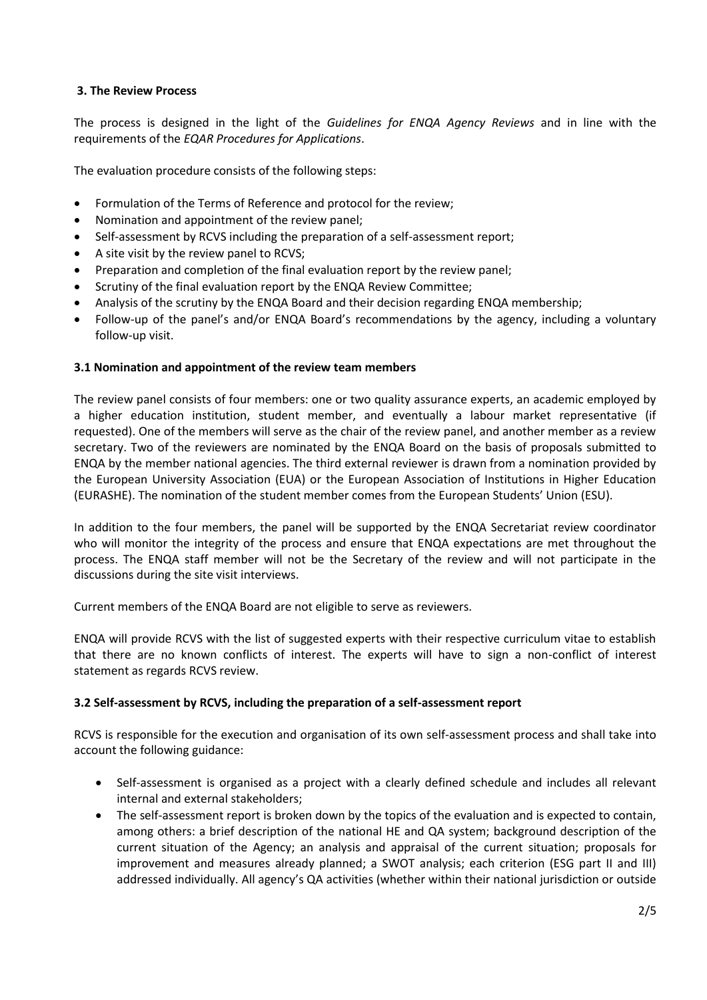## **3. The Review Process**

The process is designed in the light of the *Guidelines for ENQA Agency Reviews* and in line with the requirements of the *EQAR Procedures for Applications*.

The evaluation procedure consists of the following steps:

- Formulation of the Terms of Reference and protocol for the review;
- Nomination and appointment of the review panel;
- Self-assessment by RCVS including the preparation of a self-assessment report;
- A site visit by the review panel to RCVS;
- Preparation and completion of the final evaluation report by the review panel;
- Scrutiny of the final evaluation report by the ENQA Review Committee;
- Analysis of the scrutiny by the ENQA Board and their decision regarding ENQA membership;
- Follow-up of the panel's and/or ENQA Board's recommendations by the agency, including a voluntary follow-up visit.

#### **3.1 Nomination and appointment of the review team members**

The review panel consists of four members: one or two quality assurance experts, an academic employed by a higher education institution, student member, and eventually a labour market representative (if requested). One of the members will serve as the chair of the review panel, and another member as a review secretary. Two of the reviewers are nominated by the ENQA Board on the basis of proposals submitted to ENQA by the member national agencies. The third external reviewer is drawn from a nomination provided by the European University Association (EUA) or the European Association of Institutions in Higher Education (EURASHE). The nomination of the student member comes from the European Students' Union (ESU).

In addition to the four members, the panel will be supported by the ENQA Secretariat review coordinator who will monitor the integrity of the process and ensure that ENQA expectations are met throughout the process. The ENQA staff member will not be the Secretary of the review and will not participate in the discussions during the site visit interviews.

Current members of the ENQA Board are not eligible to serve as reviewers.

ENQA will provide RCVS with the list of suggested experts with their respective curriculum vitae to establish that there are no known conflicts of interest. The experts will have to sign a non-conflict of interest statement as regards RCVS review.

#### **3.2 Self-assessment by RCVS, including the preparation of a self-assessment report**

RCVS is responsible for the execution and organisation of its own self-assessment process and shall take into account the following guidance:

- Self-assessment is organised as a project with a clearly defined schedule and includes all relevant internal and external stakeholders;
- The self-assessment report is broken down by the topics of the evaluation and is expected to contain, among others: a brief description of the national HE and QA system; background description of the current situation of the Agency; an analysis and appraisal of the current situation; proposals for improvement and measures already planned; a SWOT analysis; each criterion (ESG part II and III) addressed individually. All agency's QA activities (whether within their national jurisdiction or outside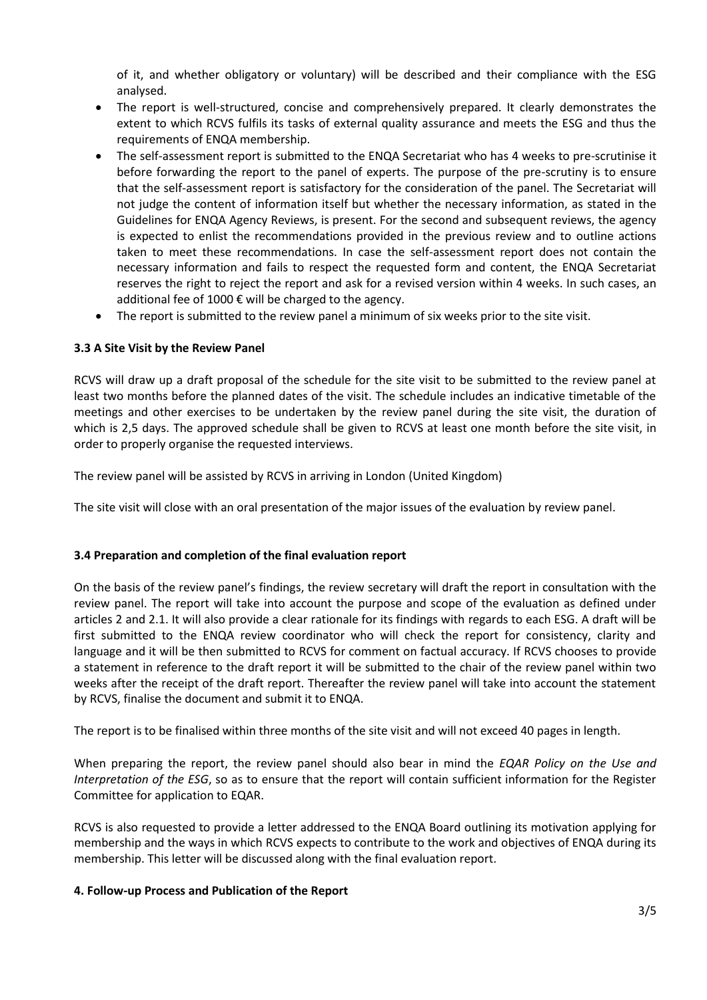of it, and whether obligatory or voluntary) will be described and their compliance with the ESG analysed.

- The report is well-structured, concise and comprehensively prepared. It clearly demonstrates the extent to which RCVS fulfils its tasks of external quality assurance and meets the ESG and thus the requirements of ENQA membership.
- The self-assessment report is submitted to the ENQA Secretariat who has 4 weeks to pre-scrutinise it before forwarding the report to the panel of experts. The purpose of the pre-scrutiny is to ensure that the self-assessment report is satisfactory for the consideration of the panel. The Secretariat will not judge the content of information itself but whether the necessary information, as stated in the Guidelines for ENQA Agency Reviews, is present. For the second and subsequent reviews, the agency is expected to enlist the recommendations provided in the previous review and to outline actions taken to meet these recommendations. In case the self-assessment report does not contain the necessary information and fails to respect the requested form and content, the ENQA Secretariat reserves the right to reject the report and ask for a revised version within 4 weeks. In such cases, an additional fee of 1000 € will be charged to the agency.
- The report is submitted to the review panel a minimum of six weeks prior to the site visit.

## **3.3 A Site Visit by the Review Panel**

RCVS will draw up a draft proposal of the schedule for the site visit to be submitted to the review panel at least two months before the planned dates of the visit. The schedule includes an indicative timetable of the meetings and other exercises to be undertaken by the review panel during the site visit, the duration of which is 2,5 days. The approved schedule shall be given to RCVS at least one month before the site visit, in order to properly organise the requested interviews.

The review panel will be assisted by RCVS in arriving in London (United Kingdom)

The site visit will close with an oral presentation of the major issues of the evaluation by review panel.

#### **3.4 Preparation and completion of the final evaluation report**

On the basis of the review panel's findings, the review secretary will draft the report in consultation with the review panel. The report will take into account the purpose and scope of the evaluation as defined under articles 2 and 2.1. It will also provide a clear rationale for its findings with regards to each ESG. A draft will be first submitted to the ENQA review coordinator who will check the report for consistency, clarity and language and it will be then submitted to RCVS for comment on factual accuracy. If RCVS chooses to provide a statement in reference to the draft report it will be submitted to the chair of the review panel within two weeks after the receipt of the draft report. Thereafter the review panel will take into account the statement by RCVS, finalise the document and submit it to ENQA.

The report is to be finalised within three months of the site visit and will not exceed 40 pages in length.

When preparing the report, the review panel should also bear in mind the *EQAR Policy on the Use and Interpretation of the ESG*, so as to ensure that the report will contain sufficient information for the Register Committee for application to EQAR.

RCVS is also requested to provide a letter addressed to the ENQA Board outlining its motivation applying for membership and the ways in which RCVS expects to contribute to the work and objectives of ENQA during its membership. This letter will be discussed along with the final evaluation report.

#### **4. Follow-up Process and Publication of the Report**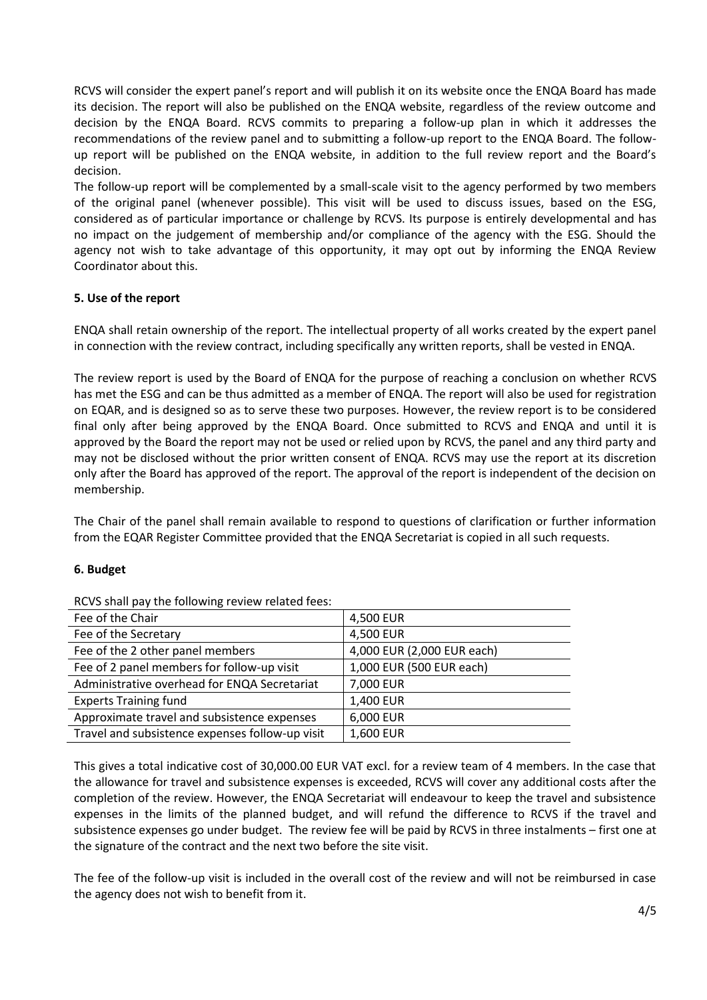RCVS will consider the expert panel's report and will publish it on its website once the ENQA Board has made its decision. The report will also be published on the ENQA website, regardless of the review outcome and decision by the ENQA Board. RCVS commits to preparing a follow-up plan in which it addresses the recommendations of the review panel and to submitting a follow-up report to the ENQA Board. The followup report will be published on the ENQA website, in addition to the full review report and the Board's decision.

The follow-up report will be complemented by a small-scale visit to the agency performed by two members of the original panel (whenever possible). This visit will be used to discuss issues, based on the ESG, considered as of particular importance or challenge by RCVS. Its purpose is entirely developmental and has no impact on the judgement of membership and/or compliance of the agency with the ESG. Should the agency not wish to take advantage of this opportunity, it may opt out by informing the ENQA Review Coordinator about this.

## **5. Use of the report**

ENQA shall retain ownership of the report. The intellectual property of all works created by the expert panel in connection with the review contract, including specifically any written reports, shall be vested in ENQA.

The review report is used by the Board of ENQA for the purpose of reaching a conclusion on whether RCVS has met the ESG and can be thus admitted as a member of ENQA. The report will also be used for registration on EQAR, and is designed so as to serve these two purposes. However, the review report is to be considered final only after being approved by the ENQA Board. Once submitted to RCVS and ENQA and until it is approved by the Board the report may not be used or relied upon by RCVS, the panel and any third party and may not be disclosed without the prior written consent of ENQA. RCVS may use the report at its discretion only after the Board has approved of the report. The approval of the report is independent of the decision on membership.

The Chair of the panel shall remain available to respond to questions of clarification or further information from the EQAR Register Committee provided that the ENQA Secretariat is copied in all such requests.

#### **6. Budget**

| Fee of the Chair                                | 4,500 EUR                  |
|-------------------------------------------------|----------------------------|
| Fee of the Secretary                            | 4,500 EUR                  |
| Fee of the 2 other panel members                | 4,000 EUR (2,000 EUR each) |
| Fee of 2 panel members for follow-up visit      | 1,000 EUR (500 EUR each)   |
| Administrative overhead for ENQA Secretariat    | 7,000 EUR                  |
| <b>Experts Training fund</b>                    | 1,400 EUR                  |
| Approximate travel and subsistence expenses     | 6,000 EUR                  |
| Travel and subsistence expenses follow-up visit | 1,600 EUR                  |

RCVS shall pay the following review related fees:

This gives a total indicative cost of 30,000.00 EUR VAT excl. for a review team of 4 members. In the case that the allowance for travel and subsistence expenses is exceeded, RCVS will cover any additional costs after the completion of the review. However, the ENQA Secretariat will endeavour to keep the travel and subsistence expenses in the limits of the planned budget, and will refund the difference to RCVS if the travel and subsistence expenses go under budget. The review fee will be paid by RCVS in three instalments – first one at the signature of the contract and the next two before the site visit.

The fee of the follow-up visit is included in the overall cost of the review and will not be reimbursed in case the agency does not wish to benefit from it.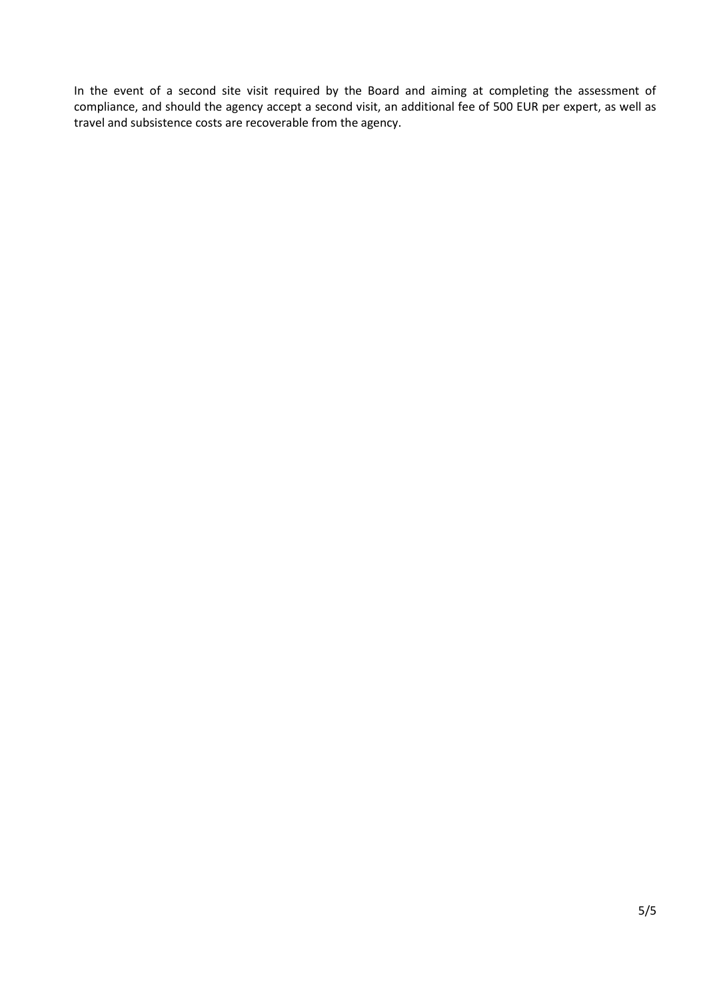In the event of a second site visit required by the Board and aiming at completing the assessment of compliance, and should the agency accept a second visit, an additional fee of 500 EUR per expert, as well as travel and subsistence costs are recoverable from the agency.